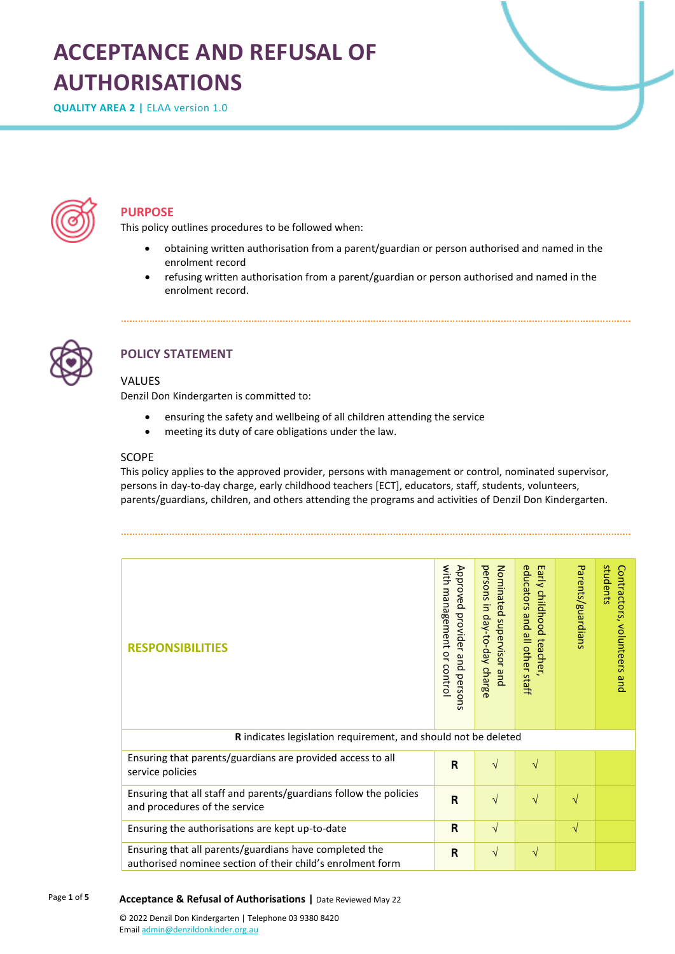# **ACCEPTANCE AND REFUSAL OF AUTHORISATIONS**

**QUALITY AREA 2 |** ELAA version 1.0



## **PURPOSE**

This policy outlines procedures to be followed when:

- obtaining written authorisation from a parent/guardian or person authorised and named in the enrolment record
- refusing written authorisation from a parent/guardian or person authorised and named in the enrolment record.



## **POLICY STATEMENT**

#### VALUES

Denzil Don Kindergarten is committed to:

- ensuring the safety and wellbeing of all children attending the service
- meeting its duty of care obligations under the law.

#### **SCOPE**

This policy applies to the approved provider, persons with management or control, nominated supervisor, persons in day-to-day charge, early childhood teachers [ECT], educators, staff, students, volunteers, parents/guardians, children, and others attending the programs and activities of Denzil Don Kindergarten.

| <b>RESPONSIBILITIES</b>                                                                                              | with management or contro<br>Approved provider and persons | persons in day-to-day charge<br>Nominated supervisor and | educators and<br>Early childhood teacher.<br>all other staff | Parents/guardians | students<br>Contractors, volunteers<br>pue |  |
|----------------------------------------------------------------------------------------------------------------------|------------------------------------------------------------|----------------------------------------------------------|--------------------------------------------------------------|-------------------|--------------------------------------------|--|
| <b>R</b> indicates legislation requirement, and should not be deleted                                                |                                                            |                                                          |                                                              |                   |                                            |  |
| Ensuring that parents/guardians are provided access to all<br>service policies                                       | $\mathsf{R}$                                               | $\sqrt{ }$                                               | $\sqrt{ }$                                                   |                   |                                            |  |
| Ensuring that all staff and parents/guardians follow the policies<br>and procedures of the service                   | $\mathsf{R}$                                               | $\sqrt{}$                                                | $\sqrt{ }$                                                   | $\sqrt{}$         |                                            |  |
| Ensuring the authorisations are kept up-to-date                                                                      | R                                                          | $\sqrt{ }$                                               |                                                              | N                 |                                            |  |
| Ensuring that all parents/guardians have completed the<br>authorised nominee section of their child's enrolment form | R                                                          | $\sqrt{}$                                                | $\sqrt{ }$                                                   |                   |                                            |  |

#### Page **1** of **5 Acceptance & Refusal of Authorisations |** Date Reviewed May 22

© 2022 Denzil Don Kindergarten | Telephone 03 9380 8420 Emai[l admin@denzildonkinder.org.au](mailto:admin@denzildonkinder.org.au)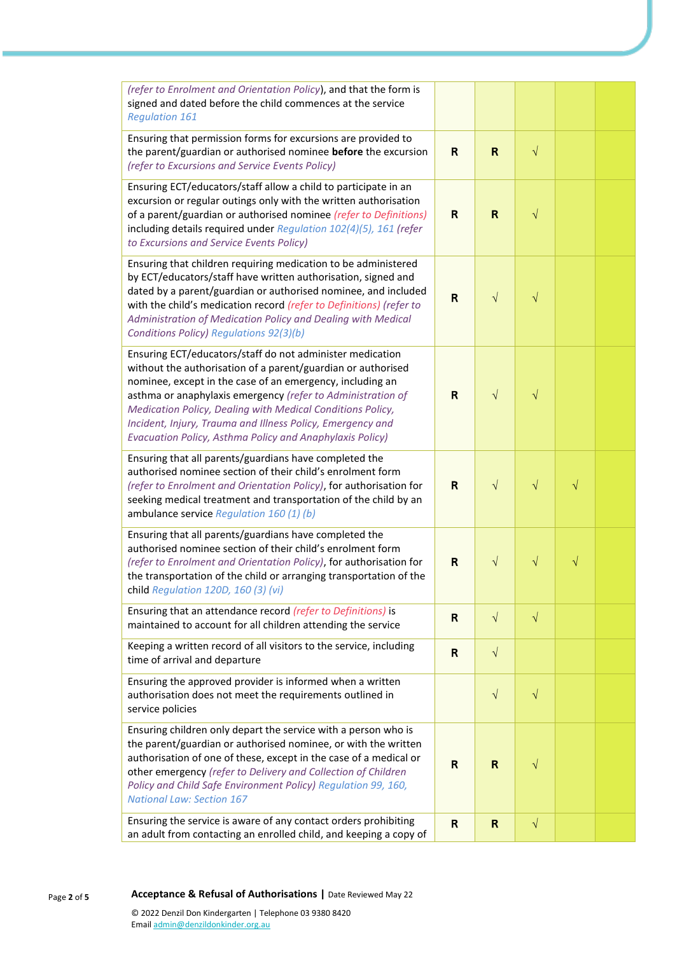| (refer to Enrolment and Orientation Policy), and that the form is<br>signed and dated before the child commences at the service<br><b>Regulation 161</b>                                                                                                                                                                                                                                                                                      |                         |              |           |           |  |
|-----------------------------------------------------------------------------------------------------------------------------------------------------------------------------------------------------------------------------------------------------------------------------------------------------------------------------------------------------------------------------------------------------------------------------------------------|-------------------------|--------------|-----------|-----------|--|
| Ensuring that permission forms for excursions are provided to<br>the parent/guardian or authorised nominee before the excursion<br>(refer to Excursions and Service Events Policy)                                                                                                                                                                                                                                                            | R                       | $\mathsf{R}$ | $\sqrt{}$ |           |  |
| Ensuring ECT/educators/staff allow a child to participate in an<br>excursion or regular outings only with the written authorisation<br>of a parent/guardian or authorised nominee (refer to Definitions)<br>including details required under Regulation 102(4)(5), 161 (refer<br>to Excursions and Service Events Policy)                                                                                                                     | R                       | $\mathsf{R}$ | $\sqrt{}$ |           |  |
| Ensuring that children requiring medication to be administered<br>by ECT/educators/staff have written authorisation, signed and<br>dated by a parent/guardian or authorised nominee, and included<br>with the child's medication record (refer to Definitions) (refer to<br>Administration of Medication Policy and Dealing with Medical<br>Conditions Policy) Regulations 92(3)(b)                                                           | R                       | $\sqrt{ }$   | $\sqrt{}$ |           |  |
| Ensuring ECT/educators/staff do not administer medication<br>without the authorisation of a parent/guardian or authorised<br>nominee, except in the case of an emergency, including an<br>asthma or anaphylaxis emergency (refer to Administration of<br>Medication Policy, Dealing with Medical Conditions Policy,<br>Incident, Injury, Trauma and Illness Policy, Emergency and<br>Evacuation Policy, Asthma Policy and Anaphylaxis Policy) | R                       | $\sqrt{}$    | $\sqrt{}$ |           |  |
| Ensuring that all parents/guardians have completed the<br>authorised nominee section of their child's enrolment form<br>(refer to Enrolment and Orientation Policy), for authorisation for<br>seeking medical treatment and transportation of the child by an<br>ambulance service Regulation 160 (1) (b)                                                                                                                                     | R                       | $\sqrt{ }$   | $\sqrt{}$ | $\sqrt{}$ |  |
| Ensuring that all parents/guardians have completed the<br>authorised nominee section of their child's enrolment form<br>(refer to Enrolment and Orientation Policy), for authorisation for<br>the transportation of the child or arranging transportation of the<br>child Regulation 120D, 160 $(3)$ $(vi)$                                                                                                                                   | R                       | $\sqrt{}$    | $\sqrt{}$ | $\sqrt{}$ |  |
| Ensuring that an attendance record (refer to Definitions) is<br>maintained to account for all children attending the service                                                                                                                                                                                                                                                                                                                  | R                       | $\sqrt{}$    | $\sqrt{}$ |           |  |
| Keeping a written record of all visitors to the service, including<br>time of arrival and departure                                                                                                                                                                                                                                                                                                                                           | $\overline{\mathsf{R}}$ | $\sqrt{}$    |           |           |  |
| Ensuring the approved provider is informed when a written<br>authorisation does not meet the requirements outlined in<br>service policies                                                                                                                                                                                                                                                                                                     |                         | $\sqrt{}$    | $\sqrt{}$ |           |  |
| Ensuring children only depart the service with a person who is<br>the parent/guardian or authorised nominee, or with the written<br>authorisation of one of these, except in the case of a medical or<br>other emergency (refer to Delivery and Collection of Children<br>Policy and Child Safe Environment Policy) Regulation 99, 160,<br><b>National Law: Section 167</b>                                                                   | R                       | R            | $\sqrt{}$ |           |  |
| Ensuring the service is aware of any contact orders prohibiting<br>an adult from contacting an enrolled child, and keeping a copy of                                                                                                                                                                                                                                                                                                          | $\mathsf{R}$            | $\mathsf R$  | $\sqrt{}$ |           |  |

Page **<sup>2</sup>** of **<sup>5</sup> Acceptance & Refusal of Authorisations |** Date Reviewed May 22 © 2022 Denzil Don Kindergarten | Telephone 03 9380 8420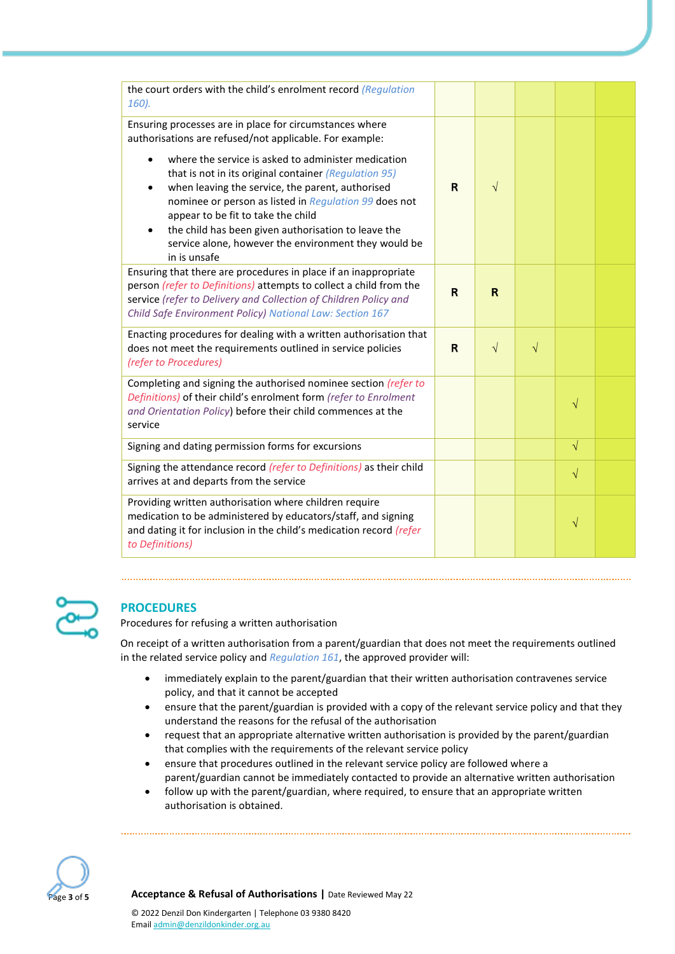| the court orders with the child's enrolment record (Regulation<br>160).                                                                                                                                                                                                                                                                                                                                                                                                                                                           |             |              |           |           |  |
|-----------------------------------------------------------------------------------------------------------------------------------------------------------------------------------------------------------------------------------------------------------------------------------------------------------------------------------------------------------------------------------------------------------------------------------------------------------------------------------------------------------------------------------|-------------|--------------|-----------|-----------|--|
| Ensuring processes are in place for circumstances where<br>authorisations are refused/not applicable. For example:<br>where the service is asked to administer medication<br>that is not in its original container (Regulation 95)<br>when leaving the service, the parent, authorised<br>$\bullet$<br>nominee or person as listed in Regulation 99 does not<br>appear to be fit to take the child<br>the child has been given authorisation to leave the<br>service alone, however the environment they would be<br>in is unsafe | R           | $\sqrt{}$    |           |           |  |
| Ensuring that there are procedures in place if an inappropriate<br>person (refer to Definitions) attempts to collect a child from the<br>service (refer to Delivery and Collection of Children Policy and<br>Child Safe Environment Policy) National Law: Section 167                                                                                                                                                                                                                                                             | $\mathbf R$ | $\mathsf{R}$ |           |           |  |
| Enacting procedures for dealing with a written authorisation that<br>does not meet the requirements outlined in service policies<br>(refer to Procedures)                                                                                                                                                                                                                                                                                                                                                                         | R           | $\sqrt{ }$   | $\sqrt{}$ |           |  |
| Completing and signing the authorised nominee section (refer to<br>Definitions) of their child's enrolment form (refer to Enrolment<br>and Orientation Policy) before their child commences at the<br>service                                                                                                                                                                                                                                                                                                                     |             |              |           | $\sqrt{}$ |  |
| Signing and dating permission forms for excursions                                                                                                                                                                                                                                                                                                                                                                                                                                                                                |             |              |           | $\sqrt{}$ |  |
| Signing the attendance record (refer to Definitions) as their child<br>arrives at and departs from the service                                                                                                                                                                                                                                                                                                                                                                                                                    |             |              |           | $\sqrt{}$ |  |
| Providing written authorisation where children require<br>medication to be administered by educators/staff, and signing<br>and dating it for inclusion in the child's medication record (refer<br>to Definitions)                                                                                                                                                                                                                                                                                                                 |             |              |           | $\sqrt{}$ |  |



## **PROCEDURES**

Procedures for refusing a written authorisation

On receipt of a written authorisation from a parent/guardian that does not meet the requirements outlined in the related service policy and *Regulation 161*, the approved provider will:

- immediately explain to the parent/guardian that their written authorisation contravenes service policy, and that it cannot be accepted
- ensure that the parent/guardian is provided with a copy of the relevant service policy and that they understand the reasons for the refusal of the authorisation
- request that an appropriate alternative written authorisation is provided by the parent/guardian that complies with the requirements of the relevant service policy
- ensure that procedures outlined in the relevant service policy are followed where a parent/guardian cannot be immediately contacted to provide an alternative written authorisation
- follow up with the parent/guardian, where required, to ensure that an appropriate written authorisation is obtained.



Page **<sup>3</sup>** of **<sup>5</sup> Acceptance & Refusal of Authorisations |** Date Reviewed May 22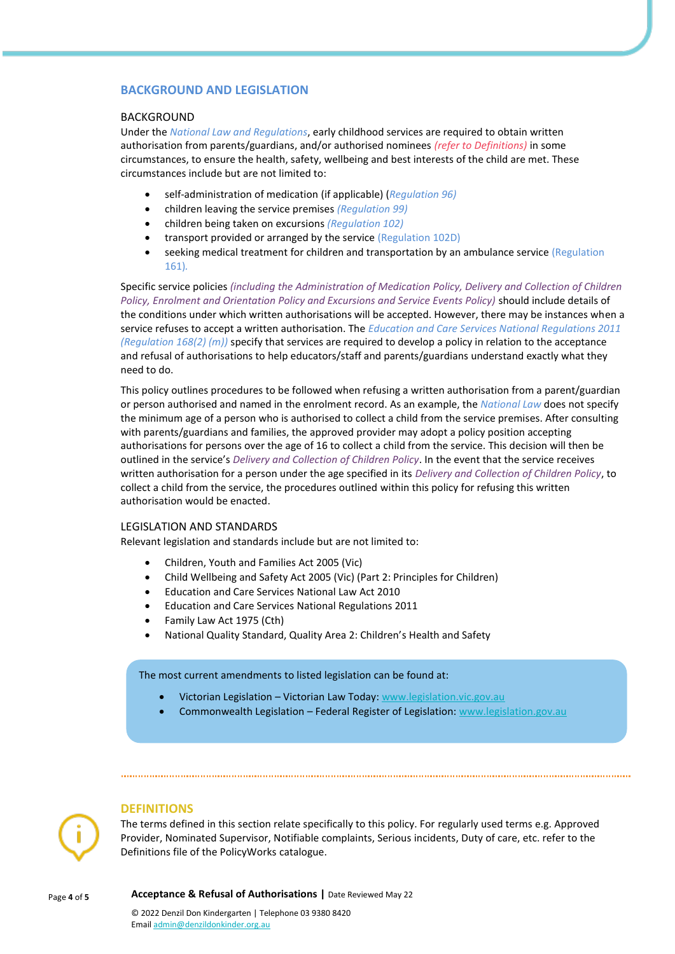### **BACKGROUND AND LEGISLATION**

#### BACKGROUND

Under the *National Law and Regulations*, early childhood services are required to obtain written authorisation from parents/guardians, and/or authorised nominees *(refer to Definitions)* in some circumstances, to ensure the health, safety, wellbeing and best interests of the child are met. These circumstances include but are not limited to:

- self-administration of medication (if applicable) (*Regulation 96)*
- children leaving the service premises *(Regulation 99)*
- children being taken on excursions *(Regulation 102)*
- transport provided or arranged by the service (Regulation 102D)
- seeking medical treatment for children and transportation by an ambulance service (Regulation 161)*.*

Specific service policies *(including the Administration of Medication Policy, Delivery and Collection of Children Policy, Enrolment and Orientation Policy and Excursions and Service Events Policy)* should include details of the conditions under which written authorisations will be accepted. However, there may be instances when a service refuses to accept a written authorisation. The *Education and Care Services National Regulations 2011 (Regulation 168(2) (m))* specify that services are required to develop a policy in relation to the acceptance and refusal of authorisations to help educators/staff and parents/guardians understand exactly what they need to do.

This policy outlines procedures to be followed when refusing a written authorisation from a parent/guardian or person authorised and named in the enrolment record. As an example, the *National Law* does not specify the minimum age of a person who is authorised to collect a child from the service premises. After consulting with parents/guardians and families, the approved provider may adopt a policy position accepting authorisations for persons over the age of 16 to collect a child from the service. This decision will then be outlined in the service's *Delivery and Collection of Children Policy*. In the event that the service receives written authorisation for a person under the age specified in its *Delivery and Collection of Children Policy*, to collect a child from the service, the procedures outlined within this policy for refusing this written authorisation would be enacted.

#### LEGISLATION AND STANDARDS

Relevant legislation and standards include but are not limited to:

- Children, Youth and Families Act 2005 (Vic)
- Child Wellbeing and Safety Act 2005 (Vic) (Part 2: Principles for Children)
- Education and Care Services National Law Act 2010
- Education and Care Services National Regulations 2011
- Family Law Act 1975 (Cth)
- National Quality Standard, Quality Area 2: Children's Health and Safety

The most current amendments to listed legislation can be found at:

- Victorian Legislation Victorian Law Today: [www.legislation.vic.gov.au](http://www.legislation.vic.gov.au/)
- Commonwealth Legislation Federal Register of Legislation: [www.legislation.gov.au](http://www.legislation.gov.au/)

## **DEFINITIONS**

The terms defined in this section relate specifically to this policy. For regularly used terms e.g. Approved Provider, Nominated Supervisor, Notifiable complaints, Serious incidents, Duty of care, etc. refer to the Definitions file of the PolicyWorks catalogue.